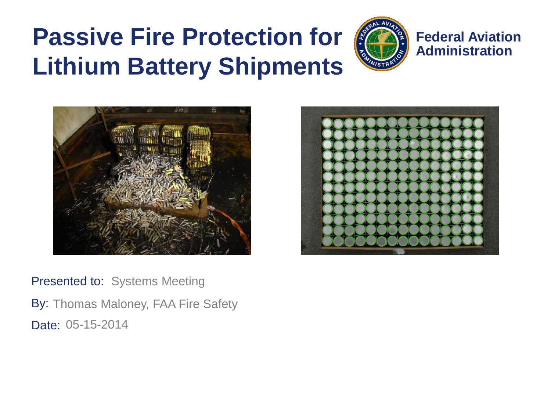#### **Passive Fire Protection for Lithium Battery Shipments**



**Federal Aviation Administration**





Presented to: Systems Meeting By: Thomas Maloney, FAA Fire Safety Date: 05-15-2014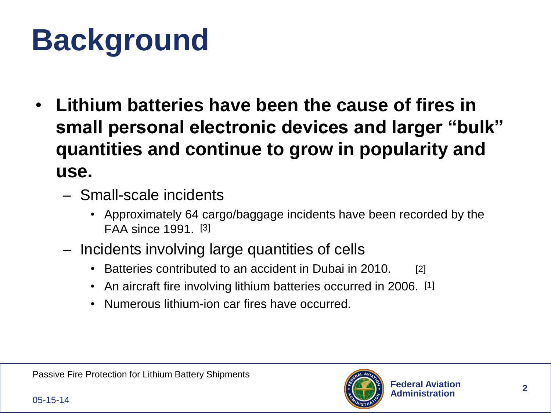## **Background**

- **Lithium batteries have been the cause of fires in small personal electronic devices and larger "bulk" quantities and continue to grow in popularity and use.**
	- Small-scale incidents
		- Approximately 64 cargo/baggage incidents have been recorded by the FAA since 1991. [3]
	- Incidents involving large quantities of cells
		- Batteries contributed to an accident in Dubai in 2010. [2]
		- An aircraft fire involving lithium batteries occurred in 2006. [1]
		- Numerous lithium-ion car fires have occurred.

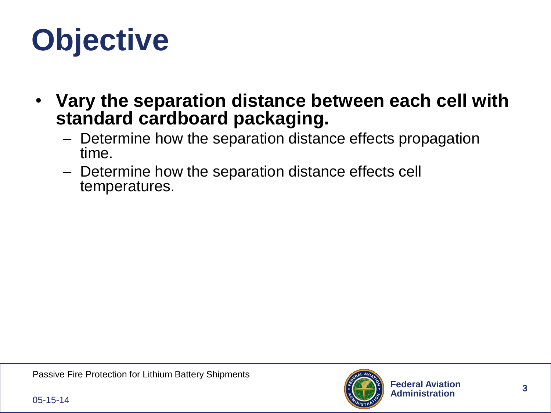## **Objective**

- **Vary the separation distance between each cell with standard cardboard packaging.**
	- Determine how the separation distance effects propagation time.
	- Determine how the separation distance effects cell temperatures.

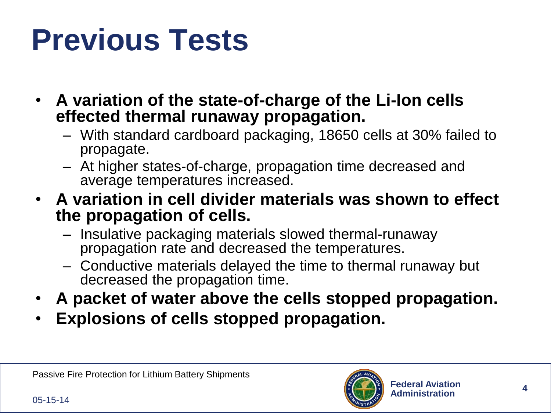## **Previous Tests**

- **A variation of the state-of-charge of the Li-Ion cells effected thermal runaway propagation.**
	- With standard cardboard packaging, 18650 cells at 30% failed to propagate.
	- At higher states-of-charge, propagation time decreased and average temperatures increased.
- **A variation in cell divider materials was shown to effect the propagation of cells.**
	- Insulative packaging materials slowed thermal-runaway propagation rate and decreased the temperatures.
	- Conductive materials delayed the time to thermal runaway but decreased the propagation time.
- **A packet of water above the cells stopped propagation.**
- **Explosions of cells stopped propagation.**

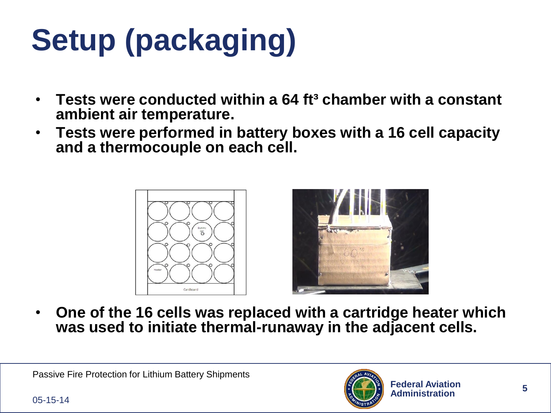# **Setup (packaging)**

- **Tests were conducted within a 64 ft³ chamber with a constant ambient air temperature.**
- **Tests were performed in battery boxes with a 16 cell capacity and a thermocouple on each cell.**





• **One of the 16 cells was replaced with a cartridge heater which was used to initiate thermal-runaway in the adjacent cells.** 

Passive Fire Protection for Lithium Battery Shipments

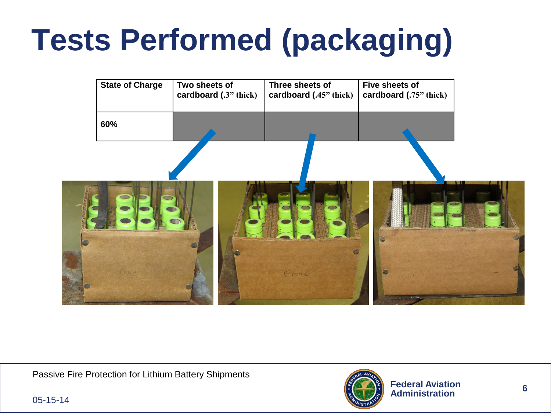## **Tests Performed (packaging)**



Passive Fire Protection for Lithium Battery Shipments



05-15-14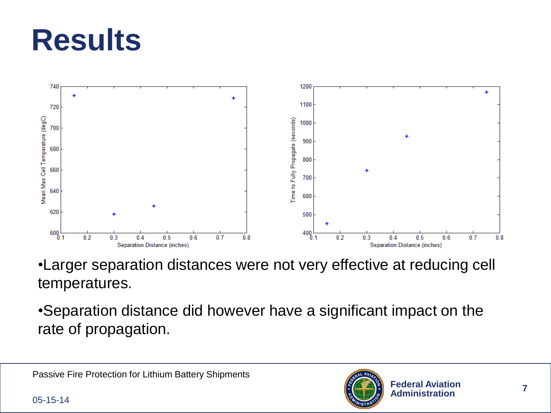### **Results**



•Larger separation distances were not very effective at reducing cell temperatures.

•Separation distance did however have a significant impact on the rate of propagation.

Passive Fire Protection for Lithium Battery Shipments

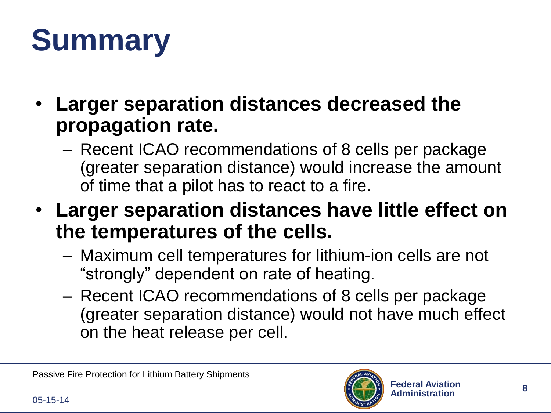## **Summary**

- **Larger separation distances decreased the propagation rate.**
	- Recent ICAO recommendations of 8 cells per package (greater separation distance) would increase the amount of time that a pilot has to react to a fire.
- **Larger separation distances have little effect on the temperatures of the cells.**
	- Maximum cell temperatures for lithium-ion cells are not "strongly" dependent on rate of heating.
	- Recent ICAO recommendations of 8 cells per package (greater separation distance) would not have much effect on the heat release per cell.

Passive Fire Protection for Lithium Battery Shipments

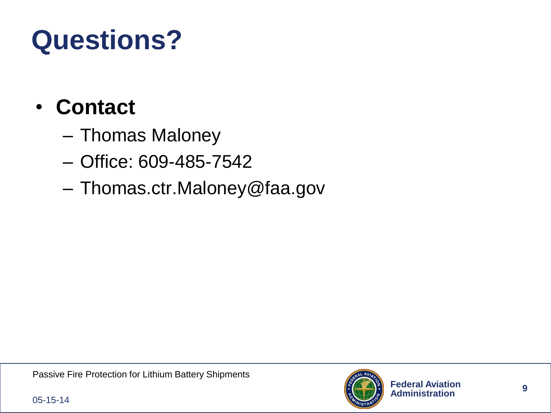#### **Questions?**

#### • **Contact**

- Thomas Maloney
- Office: 609-485-7542
- Thomas.ctr.Maloney@faa.gov



05-15-14